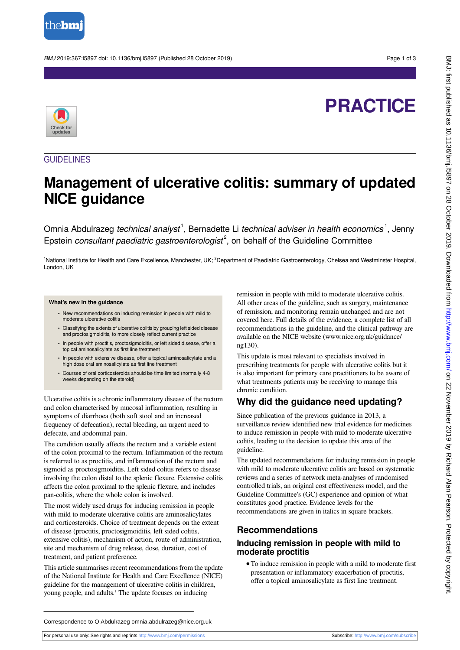

BMJ 2019;367:l5897 doi: 10.1136/bmj.l5897 (Published 28 October 2019) Page 1 of 3

# **PRACTICE**



### **GUIDELINES**

# **Management of ulcerative colitis: summary of updated NICE guidance**

Omnia Abdulrazeg technical analyst<sup>1</sup>, Bernadette Li technical adviser in health economics<sup>1</sup>, Jenny Epstein *consultant paediatric gastroenterologist<sup>2</sup>*, on behalf of the Guideline Committee

<sup>1</sup>National Institute for Health and Care Excellence, Manchester, UK; <sup>2</sup>Department of Paediatric Gastroenterology, Chelsea and Westminster Hospital, London, UK

#### **What's new in the guidance**

- **•** New recommendations on inducing remission in people with mild to moderate ulcerative colitis
- **•** Classifying the extents of ulcerative colitis by grouping left sided disease and proctosigmoiditis, to more closely reflect current practice
- **•** In people with proctitis, proctosigmoiditis, or left sided disease, offer a topical aminosalicylate as first line treatment
- **•** In people with extensive disease, offer a topical aminosalicylate and a high dose oral aminosalicylate as first line treatment
- **•** Courses of oral corticosteroids should be time limited (normally 4-8 weeks depending on the steroid)

Ulcerative colitis is a chronic inflammatory disease of the rectum and colon characterised by mucosal inflammation, resulting in symptoms of diarrhoea (both soft stool and an increased frequency of defecation), rectal bleeding, an urgent need to defecate, and abdominal pain.

The condition usually affects the rectum and a variable extent of the colon proximal to the rectum. Inflammation of the rectum is referred to as proctitis, and inflammation of the rectum and sigmoid as proctosigmoiditis. Left sided colitis refers to disease involving the colon distal to the splenic flexure. Extensive colitis affects the colon proximal to the splenic flexure, and includes pan-colitis, where the whole colon is involved.

The most widely used drugs for inducing remission in people with mild to moderate ulcerative colitis are aminosalicylates and corticosteroids. Choice of treatment depends on the extent of disease (proctitis, proctosigmoiditis, left sided colitis, extensive colitis), mechanism of action, route of administration, site and mechanism of drug release, dose, duration, cost of treatment, and patient preference.

This article summarises recent recommendations from the update of the National Institute for Health and Care Excellence (NICE) guideline for the management of ulcerative colitis in children, young people, and adults.<sup>1</sup> The update focuses on inducing

remission in people with mild to moderate ulcerative colitis. All other areas of the guideline, such as surgery, maintenance of remission, and monitoring remain unchanged and are not covered here. Full details of the evidence, a complete list of all recommendations in the guideline, and the clinical pathway are available on the NICE website (www.nice.org.uk/guidance/ ng130).

This update is most relevant to specialists involved in prescribing treatments for people with ulcerative colitis but it is also important for primary care practitioners to be aware of what treatments patients may be receiving to manage this chronic condition.

# **Why did the guidance need updating?**

Since publication of the previous guidance in 2013, a surveillance review identified new trial evidence for medicines to induce remission in people with mild to moderate ulcerative colitis, leading to the decision to update this area of the guideline.

The updated recommendations for inducing remission in people with mild to moderate ulcerative colitis are based on systematic reviews and a series of network meta-analyses of randomised controlled trials, an original cost effectiveness model, and the Guideline Committee's (GC) experience and opinion of what constitutes good practice. Evidence levels for the recommendations are given in italics in square brackets.

#### **Recommendations**

#### **Inducing remission in people with mild to moderate proctitis**

**•**To induce remission in people with a mild to moderate first presentation or inflammatory exacerbation of proctitis, offer a topical aminosalicylate as first line treatment.

Correspondence to O Abdulrazeg omnia.abdulrazeg@nice.org.uk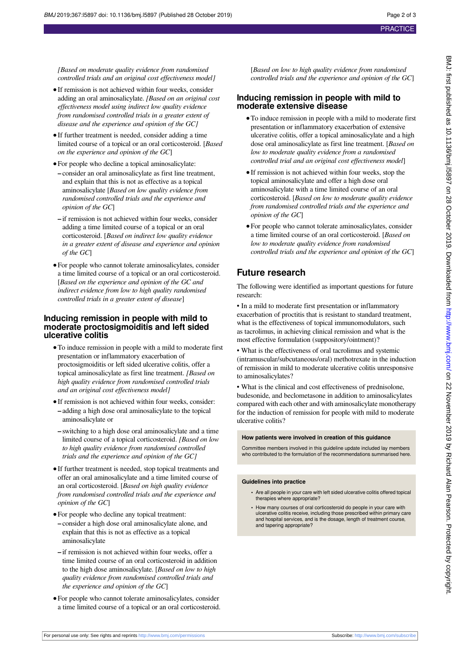*[Based on moderate quality evidence from randomised controlled trials and an original cost effectiveness model]*

- **•**If remission is not achieved within four weeks, consider adding an oral aminosalicylate. *[Based on an original cost effectiveness model using indirect low quality evidence from randomised controlled trials in a greater extent of disease and the experience and opinion of the GC]*
- **•**If further treatment is needed, consider adding a time limited course of a topical or an oral corticosteroid. [*Based on the experience and opinion of the GC*]
- **•**For people who decline a topical aminosalicylate:
- **–** consider an oral aminosalicylate as first line treatment, and explain that this is not as effective as a topical aminosalicylate [*Based on low quality evidence from randomised controlled trials and the experience and opinion of the GC*]
- **–** if remission is not achieved within four weeks, consider adding a time limited course of a topical or an oral corticosteroid. [*Based on indirect low quality evidence in a greater extent of disease and experience and opinion of the GC*]
- **•**For people who cannot tolerate aminosalicylates, consider a time limited course of a topical or an oral corticosteroid. [*Based on the experience and opinion of the GC and indirect evidence from low to high quality randomised controlled trials in a greater extent of disease*]

#### **Inducing remission in people with mild to moderate proctosigmoiditis and left sided ulcerative colitis**

- **•**To induce remission in people with a mild to moderate first presentation or inflammatory exacerbation of proctosigmoiditis or left sided ulcerative colitis, offer a topical aminosalicylate as first line treatment. *[Based on high quality evidence from randomised controlled trials and an original cost effectiveness model]*
- **•**If remission is not achieved within four weeks, consider: **–** adding a high dose oral aminosalicylate to the topical aminosalicylate or
- **–** switching to a high dose oral aminosalicylate and a time limited course of a topical corticosteroid. *[Based on low to high quality evidence from randomised controlled trials and the experience and opinion of the GC]*
- **•**If further treatment is needed, stop topical treatments and offer an oral aminosalicylate and a time limited course of an oral corticosteroid. [*Based on high quality evidence from randomised controlled trials and the experience and opinion of the GC*]
- **•**For people who decline any topical treatment:
- **–** consider a high dose oral aminosalicylate alone, and explain that this is not as effective as a topical aminosalicylate
- **–** if remission is not achieved within four weeks, offer a time limited course of an oral corticosteroid in addition to the high dose aminosalicylate. [*Based on low to high quality evidence from randomised controlled trials and the experience and opinion of the GC*]
- **•**For people who cannot tolerate aminosalicylates, consider a time limited course of a topical or an oral corticosteroid.

[*Based on low to high quality evidence from randomised controlled trials and the experience and opinion of the GC*]

#### **Inducing remission in people with mild to moderate extensive disease**

- **•**To induce remission in people with a mild to moderate first presentation or inflammatory exacerbation of extensive ulcerative colitis, offer a topical aminosalicylate and a high dose oral aminosalicylate as first line treatment. [*Based on low to moderate quality evidence from a randomised controlled trial and an original cost effectiveness model*]
- **•**If remission is not achieved within four weeks, stop the topical aminosalicylate and offer a high dose oral aminosalicylate with a time limited course of an oral corticosteroid. [*Based on low to moderate quality evidence from randomised controlled trials and the experience and opinion of the GC*]
- **•**For people who cannot tolerate aminosalicylates, consider a time limited course of an oral corticosteroid. [*Based on low to moderate quality evidence from randomised controlled trials and the experience and opinion of the GC*]

## **Future research**

The following were identified as important questions for future research:

• In a mild to moderate first presentation or inflammatory exacerbation of proctitis that is resistant to standard treatment, what is the effectiveness of topical immunomodulators, such as tacrolimus, in achieving clinical remission and what is the most effective formulation (suppository/ointment)?

• What is the effectiveness of oral tacrolimus and systemic (intramuscular/subcutaneous/oral) methotrexate in the induction of remission in mild to moderate ulcerative colitis unresponsive to aminosalicylates?

• What is the clinical and cost effectiveness of prednisolone, budesonide, and beclometasone in addition to aminosalicylates compared with each other and with aminosalicylate monotherapy for the induction of remission for people with mild to moderate ulcerative colitis?

#### **How patients were involved in creation of this guidance**

Committee members involved in this guideline update included lay members who contributed to the formulation of the recommendations summarised here.

#### **Guidelines into practice**

- **•** Are all people in your care with left sided ulcerative colitis offered topical therapies where appropriate?
- **•** How many courses of oral corticosteroid do people in your care with ulcerative colitis receive, including those prescribed within primary care and hospital services, and is the dosage, length of treatment course, and tapering appropriate?